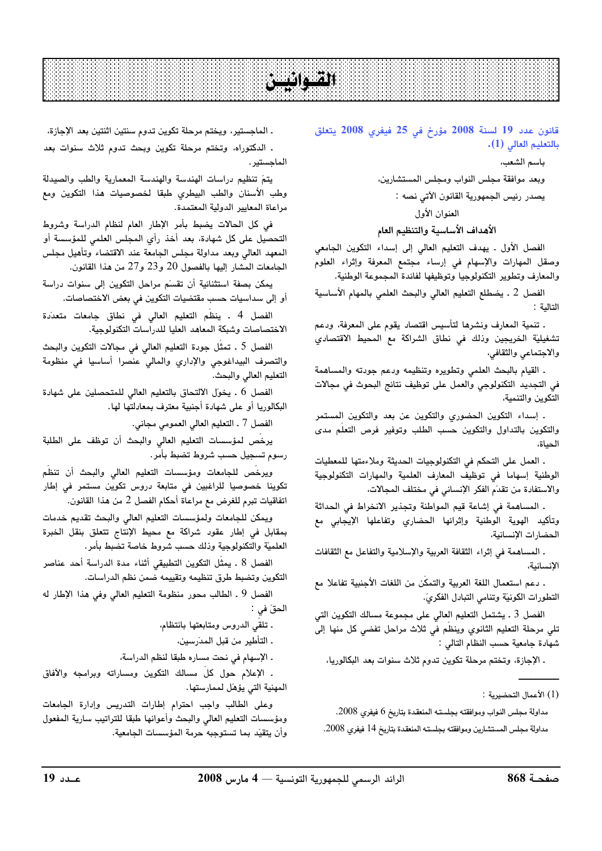# $-11$

## قانون عدد 19 لسنة 2008 مؤرخ في 25 فيفري 2008 يتعلق بالتعليم العالي (1).

باسم الشعب، وبعد موافقة مجلس النواب ومجلس المستشارين، يصدر رئيس الجمهورية القانون الآتي نصه : العنوان الأول الأهداف الأساسية والتنظيم العام

الفصل الأول ـ يهدف التعليم العالي إلى إسداء التكوين الجامعي وصقل المهارات والإسهام في إرساء مجتمع المعرفة وإثراء العلوم والمعارف وتطوير التكنولوجيا وتوظيفها لفائدة المجموعة الوطنية.

الفصل 2 ـ يضطلع التعليم العالى والبحث العلمي بالمهام الأساسية التالية :

. تنمية المعارف ونشرها لتأسيس اقتصاد يقوم على المعرفة، ودعم تشغيليّة الخريجين وذلك في نطاق الشراكة مع المحيط الاقتصادي والاجتماعي والثقافي،

. القيام بالبحث العلمى وتطويره وتنظيمه ودعم جودته والمساهمة في التجديد التكنولوجي والعمل على توظيف نتائج البحوث في مجالات التكوين والتنمية،

. إسداء التكوين الحضورى والتكوين عن بعد والتكوين المستمر والتكوين بالتداول والتكوين حسب الطلب وتوفير فرص التعلم مدى الحماة،

. العمل على التحكم في التكنولوجيات الحديثة وملاءمتها للمعطيات الوطنية إسهاما في توظيف المعارف العلمية والمهارات التكنولوجية والاستفادة من تقدّم الفكر الإنساني في مختلف المجالات،

. المساهمة في إشاعة قيم المواطنة وتجذير الانخراط في الحداثة وتأكيد الهوية الوطنية وإثرائها الحضاري وتفاعلها الإيجابي مع الحضارات الإنسانية،

. المساهمة في إثراء الثقافة العربية والإسلامية والتفاعل مع الثقافات الإنسانية،

. دعم استعمال اللغة العربية والتمكّن من اللغات الأجنبية تفاعلا مع التطورات الكونيّة وتنامى التبادل الفكريّ.

الفصل 3 ـ يشتمل التعليم العالي على مجموعة مسالك التكوين التي تلى مرحلة التعليم الثانوي وينظم في ثلاث مراحل تفضى كل منها إلى شهادة جامعية حسب النظام التالي :

ـ الإجازة، وتختم مرحلة تكوين تدوم ثلاث سنوات بعد البكالوريا،

مداولة مجلس النواب وموافقته بجلسته المنعقدة بتاريخ 6 فيفري 2008. مداولة مجلس المستشارين وموافقته بجلسته المنعقدة بتاريخ 14 فيفري 2008.

. الماجستير، ويختم مرحلة تكوين تدوم سنتين اثنتين بعد الإجازة،

. الدكتوراه، وتختم مرحلة تكوين وبحث تدوم ثلاث سنوات بعد الماحستىر .

يتمّ تنظيم دراسات الهندسة والهندسة المعمارية والطب والصيدلة وطب الأسنان والطب البيطري طبقا لخصوصيات هذا التكوين ومع مراعاة المعابير الدولية المعتمدة.

في كل الحالات يضبط بأمر الإطار العام لنظام الدراسة وشروط التحصيل على كل شهادة، بعد أخذ رأي المجلس العلمى للمؤسسة أو المعهد العالى وبعد مداولة مجلس الجامعة عند الاقتضاء وتأهيل مجلس الجامعات المشار إليها بالفصول 20 و23 و27 من هذا القانون.

يمكن بصفة استثنائية أن تقسَم مراحل التكوين إلى سنوات دراسة أو إلى سداسيات حسب مقتضيات التكوين في بعض الاختصاصات.

الفصل 4 . ينظَم التعليم العالى فى نطاق جامعات متعدّدة الاختصاصات وشبكة المعاهد العليا للدراسات التكنولوجية.

الفصل 5 ـ تمثّل جودة التعليم العالى في مجالات التكوين والبحث والتصرف البيداغوجي والإدارى والمالى عنصرا أساسيا فى منظومة التعليم العالى والبحث.

الفصل 6 . يخول الالتحاق بالتعليم العالى للمتحصلين على شهادة البكالوريا أو على شهادة أجنبية معترف بمعادلتها لها.

الفصل 7 ـ التعليم العالي العمومي مجاني.

يرخص لمؤسسات التعليم العالى والبحث أن توظف على الطلبة رسوم تسجيل حسب شروط تضبط بأمر.

ويرخص للجامعات ومؤسسات التعليم العالى والبحث أن تنظم تكوينا خصوصيا للراغبين فى متابعة دروس تكوين مستمر فى إطار اتفاقيات تبرم للغرض مع مراعاة أحكام الفصل 2 من هذا القانون.

ويمكن للجامعات ولمؤسسات التعليم العالى والبحث تقديم خدمات بمقابل في إطار عقود شراكة مع محيط الإنتاج تتعلق بنقل الخبرة العلميّة والتكنولوجية وذلك حسب شروط خاصة تضبط بأمر.

الفصل 8 . يمثل التكوين التطبيقي أثناء مدة الدراسة أحد عناصر التكوين وتضبط طرق تنظيمه وتقييمه ضمن نظم الدراسات.

الفصل 9 ـ الطالب محور منظومة التعليم العالي وفي هذا الإطار له الحقّ في :

. تلقى الدروس ومتابعتها بانتظام،

ـ التأطير من قبل المدّرسين،

. الإسهام في نحت مساره طبقا لنظم الدراسة،

۔ الإعلام حول كلٍّ مسالك التكوين ومساراته وبرامجه والآفاق المهنية التي يؤهّل لممارستها.

وعلى الطالب واجب احترام إطارات التدريس وإدارة الجامعات ومؤسسات التعليم العالى والبحث وأعوانها طبقا للتراتيب سارية المفعول وأن يتقيّد بما تستوجبه حرمة المؤسسات الجامعية.

<sup>(1)</sup> الأعمال التحضيرية :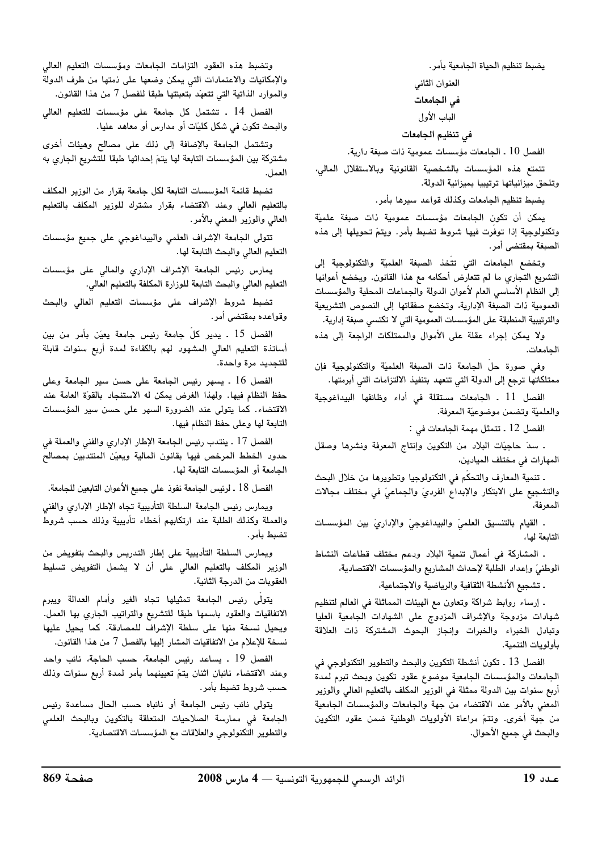يضبط تنظيم الحياة الجامعية بأمر.

العنوان الثاني في الجامعات الباب الأول

في تنظيم الجامعات

الفصل 10 . الجامعات مؤسسات عمومية ذات صبغة دارية.

تتمتع هذه المؤسسات بالشخصية القانونية وبالاستقلال المالي، وتلحق ميزانياتها ترتيبيا بميزانية الدولة.

يضبط تنظيم الجامعات وكذلك قواعد سيرها بأمر.

يمكن أن تكون الجامعات مؤسسات عمومية ذات صبغة علميّة وتكنولوجية إذا توفَّرت فيها شروط تضبط بأمر. ويتمّ تحويلها إلى هذه الصبغة بمقتضى أمر.

وتخضع الجامعات التى تتخذ الصبغة العلميّة والتكنولوجية إلى التشريع التجاري ما لم تتعارض أحكامه مع هذا القانون. ويخضع أعوانها إلى النظام الأساسي العام لأعوان الدولة والجماعات المحلية والمؤسسات العمومية ذات الصبغة الإدارية، وتخضع صفقاتها إلى النصوص التشريعية والترتيبية المنطبقة على المؤسسات العمومية التي لا تكتسى صبغة إدارية.

ولا يمكن إجراء عقلة على الأموال والممتلكات الراجعة إلى هذه الحامعات.

وفي صورة حل الجامعة ذات الصبغة العلميّة والتكنولوجية فإن ممتلكاتها ترجع إلى الدولة التي تتعهد بتنفيذ الالتزامات التى أبرمتها.

الفصل 11 . الجامعات مستقلة فى أداء وظائفها البيداغوجية والعلميّة وتضمن موضوعيّة المعرفة.

الفصل 12 . تتمثل مهمة الجامعات في :

. سدّ حاجيّات البلاد من التكوين وإنتاج المعرفة ونشرها وصقل المهارات في مختلف الميادين،

. تنمية المعارف والتحكم في التكنولوجيا وتطويرها من خلال البحث والتشجيع على الابتكار والإبداع الفرديّ والجماعيّ في مختلف مجالات المعرفة،

. القيام بالتنسيق العلميّ والبيداغوجيّ والإداريّ بين المؤسسات التابعة لها،

. المشاركة في أعمال تنمية البلاد ودعم مختلف قطاعات النشاط الوطنيّ وإعداد الطلبة لإحداث المشاريع والمؤسسات الاقتصادية،

. تشجيع الأنشطة الثقافية والرياضية والاجتماعية،

. إرساء روابط شراكة وتعاون مع الهيئات المماثلة في العالم لتنظيم شهادات مزدوجة والإشراف المزدوج على الشهادات الجامعية العليا وتبادل الخبراء والخبرات وإنجاز البحوث المشتركة ذات العلاقة بأولويات التنمية.

الفصل 13 . تكون أنشطة التكوين والبحث والتطوير التكنولوجي في الجامعات والمؤسسات الجامعية موضوع عقود تكوين وبحث تبرم لمدة أربع سنوات بين الدولة ممثلة في الوزير المكلف بالتعليم العالي والوزير المعنى بالأمر عند الاقتضاء من جهة والجامعات والمؤسسات الجامعية من جهة أخرى. وتتمّ مراعاة الأولويات الوطنية ضمن عقود التكوين والبحث في جميع الأحوال.

وتضبط هذه العقود التزامات الجامعات ومؤسسات التعليم العالى والإمكانيات والاعتمادات التي يمكن وضعها على ذمتها من طرف الدولة والموارد الذاتية التي تتعهَّد بتعبئتها طبقا للفصل 7 من هذا القانون.

الفصل 14 . تشتمل كل جامعة على مؤسسات للتعليم العالى والبحث تكون في شكل كليّات أو مدارس أو معاهد عليا.

وتشتمل الجامعة بالإضافة إلى ذلك على مصالح وهيئات أخرى مشتركة بين المؤسسات التابعة لها يتمّ إحداثها طبقا للتشريع الجاري به

تضبط قائمة المؤسسات التابعة لكل جامعة بقرار من الوزير المكلف بالتعليم العالى وعند الاقتضاء بقرار مشترك للوزير المكلف بالتعليم العالى والوزير المعنى بالأمر.

تتولى الجامعة الإشراف العلمي والبيداغوجي على جميع مؤسسات التعليم العالى والبحث التابعة لها.

يمارس رئيس الجامعة الإشراف الإدارى والمالى على مؤسسات التعليم العالى والبحث التابعة للوزارة المكلفة بالتعليم العالى.

تضبط شروط الإشراف على مؤسسات التعليم العالى والبحث وقواعده بمقتضى أمر.

الفصل 15 . يدير كلّ جامعة رئيس جامعة يعيّن بأمر من بين أساتذة التعليم العالى المشهود لهم بالكفاءة لمدة أربع سنوات قابلة للتجديد مرة واحدة.

الفصل 16 . يسهر رئيس الجامعة على حسن سير الجامعة وعلى حفظ النظام فيها. ولهذا الغرض يمكن له الاستنجاد بالقوّة العامة عند الاقتضاء. كما يتولى عند الضرورة السهر على حسن سير المؤسسات التابعة لها وعلى حفظ النظام فيها.

الفصل 17 ـ ينتدب رئيس الجامعة الإطار الإداري والفني والعملة في حدود الخطط المرخص فيها بقانون المالية ويعين المنتدبين بمصالح الجامعة أو المؤسسات التابعة لها.

الفصل 18 ـ لرئيس الجامعة نفوذ على جميع الأعوان التابعين للجامعة.

ويمارس رئيس الجامعة السلطة التأديبية تجاه الإطار الإداري والفني والعملة وكذلك الطلبة عند ارتكابهم أخطاء تأديبية وذلك حسب شروط تضبط بأمر .

ويمارس السلطة التأديبية على إطار التدريس والبحث بتفويض من الوزير المكلف بالتعليم العالي على أن لا يشمل التفويض تسليط العقوبات من الدرحة الثانية.

يتولى رئيس الجامعة تمثيلها تجاه الغير وأمام العدالة ويبرم الاتفاقيات والعقود باسمها طبقا للتشريع والتراتيب الجارى بها العمل. ويحيل نسخة منها على سلطة الإشراف للمصادقة. كما يحيل عليها نسخة للإعلام من الاتفاقيات المشار إليها بالفصل 7 من هذا القانون.

الفصل 19 . يساعد رئيس الجامعة، حسب الحاجة، نائب واحد وعند الاقتضاء نائبان اثنان يتمّ تعيينهما بأمر لمدة أربع سنوات وذلك حسب شروط تضبط بأمر.

يتولى نائب رئيس الجامعة أو نائباه حسب الحال مساعدة رئيس الجامعة في ممارسة الصلاحيات المتعلقة بالتكوين وبالبحث العلمى والتطوير التكنولوجي والعلاقات مع المؤسسات الاقتصادية.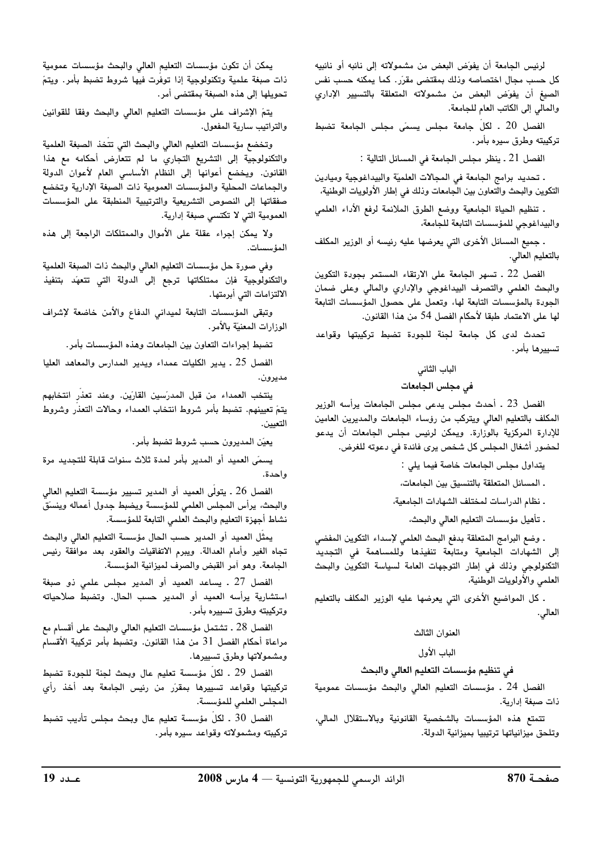لرئيس الجامعة أن يفوّض البعض من مشمولاته إلى نائبه أو نائبيه كل حسب مجال اختصاصه وذلك بمقتضى مقرّر. كما يمكنه حسب نفس الصيغ أن يفوّض البعض من مشمولاته المتعلقة بالتسيير الإداري والمالي إلى الكاتب العام للجامعة.

الفصل 20 . لكلّ جامعة مجلس يسمّى مجلس الجامعة تضبط تركيبته وطرق سيره بأمر.

الفصل 21 . ينظر مجلس الجامعة في المسائل التالية :

. تحديد برامج الجامعة في المجالات العلميّة والبيداغوجية وميادين التكوين والبحث والتعاون بين الجامعات وذلك في إطار الأولويات الوطنية،

. تنظيم الحياة الجامعية ووضع الطرق الملائمة لرفع الأداء العلمي والبيداغوجي للمؤسسات التابعة للجامعة،

. جميع المسائل الأخرى التي يعرضها عليه رئيسه أو الوزير المكلف بالتعليم العالي.

الفصل 22 . تسهر الجامعة على الارتقاء المستمر بجودة التكوين والبحث العلمي والتصرف البيداغوجي والإداري والمالي وعلى ضمان الجودة بالمؤسسات التابعة لها، وتعمل على حصول المؤسسات التابعة لها على الاعتماد طبقا لأحكام الفصل 54 من هذا القانون.

.<br>تحدث لدى كل جامعة لجنة للجودة تضبط تركيبتها وقواعد تسبيرها بأمر .

#### الباب الثاني

#### في مجلس الجامعات

الفصل 23 . أحدث مجلس يدعى مجلس الجامعات يرأسه الوزير المكلف بالتعليم العالى ويتركب من رؤساء الجامعات والمديرين العامين للإدارة المركزية بالوزارة. ويمكن لرئيس مجلس الجامعات أن يدعو لحضور أشغال المجلس كل شخص يرى فائدة في دعوته للغرض.

يتداول مجلس الجامعات خاصة فيما يلي :

ـ المسائل المتعلقة بالتنسيق بين الجامعات،

. نظام الدراسات لمختلف الشهادات الجامعية،

. تأهيل مؤسسات التعليم العالي والبحث،

. وضع البرامج المتعلقة بدفع البحث العلمي لإسداء التكوين المفضى إلى الشهادات الجامعية ومتابعة تنفيذها وللمساهمة فى التجديد التكنولوجي وذلك في إطار التوجهات العامة لسياسة التكوين والبحث العلمي والأولويات الوطنية،

. كل المواضيع الأخرى التي يعرضها عليه الوزير المكلف بالتعليم العالي.

#### العنوان الثالث

#### الباب الأول

#### في تنظيم مؤسسات التعليم العالي والبحث

الفصل 24 . مؤسسات التعليم العالى والبحث مؤسسات عمومية ذات صبغة إدارية.

تتمتع هذه المؤسسات بالشخصية القانونية وبالاستقلال المالى، وتلحق ميزانياتها ترتيبيا بميزانية الدولة.

يمكن أن تكون مؤسسات التعليم العالى والبحث مؤسسات عمومية ذات صبغة علمية وتكنولوجية إذا توفرت فيها شروط تضبط بأمر. ويتمّ تحويلها إلى هذه الصبغة بمقتضى أمر.

يتمّ الإشراف على مؤسسات التعليم العالي والبحث وفقا للقوانين والتراتيب سارية المفعول.

وتخضع مؤسسات التعليم العالى والبحث التى تتخذ الصبغة العلمية والتكنولوجية إلى التشريع التجاري ما لم تتعارض أحكامه مع هذا القانون. ويخضع أعوانها إلى النظام الأساسي العام لأعوان الدولة والجماعات المحلية والمؤسسات العمومية ذات الصبغة الإدارية وتخضع صفقاتها إلى النصوص التشريعية والترتيبية المنطبقة على المؤسسات العمومية التي لا تكتسى صبغة إدارية.

ولا يمكن إجراء عقلة على الأموال والممتلكات الراجعة إلى هذه المؤسسات.

وفي صورة حل مؤسسات التعليم العالي والبحث ذات الصبغة العلمية والتكنولوجية فإن ممتلكاتها ترجع إلى الدولة التي تتعهّد بتنفيذ الالتزامات التي أبرمتها.

وتبقى المؤسسات التابعة لميداني الدفاع والأمن خاضعة لإشراف الوزارات المعنيّة بالأمر.

تضبط إجراءات التعاون بين الجامعات وهذه المؤسسات بأمر.

الفصل 25 ـ يدير الكليات عمداء ويدير المدارس والمعاهد العليا مديرون.

ينتخب العمداء من قبل المدرسين القارين. وعند تعذر انتخابهم يتمّ تعيينهم. تضبط بأمر شروط انتخاب العمداء وحالات التعذر وشروط التعيين.

يعيّن المديرون حسب شروط تضبط بأمر.

يسمّى العميد أو المدير بأمر لمدة ثلاث سنوات قابلة للتجديد مرة وأحدة.

الفصل 26 ـ يتولَّى العميد أو المدير تسيير مؤسسة التعليم العالي والبحث، يرأس المجلس العلمى للمؤسسة ويضبط جدول أعماله وينسق نشاط أجهزة التعليم والبحث العلمي التابعة للمؤسسة.

يمثِّل العميد أو المدير حسب الحال مؤسسة التعليم العالي والبحث تجاه الغير وأمام العدالة. ويبرم الاتفاقيات والعقود بعد موافقة رئيس الجامعة. وهو آمر القبض والصرف لميزانية المؤسسة.

الفصل 27 . يساعد العميد أو المدير مجلس علمى ذو صبغة استشارية يرأسه العميد أو المدير حسب الحال. وتضبط صلاحياته وتركيبته وطرق تسييره بأمر.

الفصل 28 ـ تشتمل مؤسسات التعليم العالي والبحث على أقسام مع مراعاة أحكام الفصل 31 من هذا القانون. وتضبط بأمر تركيبة الأقسام ومشمولاتها وطرق تسبيرها.

الفصل 29 . لكلِّ مؤسسة تعليم عال وبحث لجنة للجودة تضبط تركيبتها وقواعد تسييرها بمقرّر من رئيس الجامعة بعد أخذ رأى المجلس العلمي للمؤسسة.

الفصل 30 . لكلّ مؤسسة تعليم عال وبحث مجلس تأديب تضبط تركيبته ومشمولاته وقواعد سيره بأمر.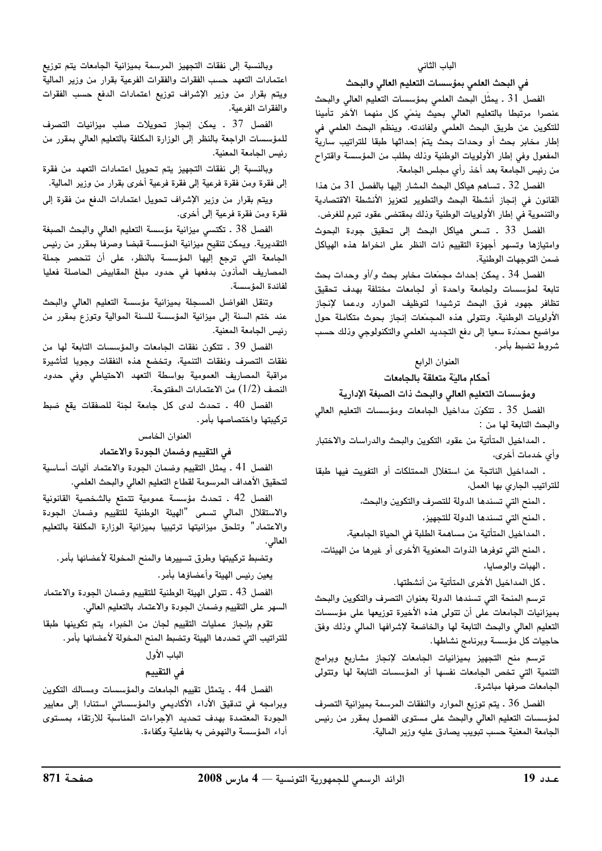## الباب الثاني

في البحث العلمي بمؤسسات التعليم العالي والبحث

الفصل 31 . يمثِّل البحث العلمي بمؤسسات التعليم العالي والبحث عنصرا مرتبطا بالتعليم العالي بحيث ينمّي كل منهما الآخر تأمينا للتكوين عن طريق البحث العلمي ولفائدته. وينظم البحث العلمي في إطار مخابر بحث أو وحدات بحث يتمَ إحداثها طبقا للتراتيب سارية المفعول وفي إطار الأولويات الوطنية وذلك بطلب من المؤسسة واقتراح من رئيس الجامعة بعد أخذ رأي مجلس الجامعة.

الفصل 32 . تساهم هياكل البحث المشار إليها بالفصل 31 من هذا القانون في إنجاز أنشطة البحث والتطوير لتعزيز الأنشطة الاقتصادية والتنموية في إطار الأولويات الوطنية وذلك بمقتضى عقود تبرم للغرض.

الفصل 33 . تسعى هياكل البحث إلى تحقيق جودة البحوث وامتيازها وتسهر أجهزة التقييم ذات النظر على انخراط هذه الهياكل ضمن التوحهات الوطنية.

الفصل 34 . يمكن إحداث مجمّعات مخابر بحث و/أو وحدات بحث تابعة لمؤسسات ولجامعة واحدة أو لجامعات مختلفة بهدف تحقيق تظافر جهود فرق البحث ترشيدا لتوظيف الموارد ودعما لإنجاز الأولويات الوطنية. وتتولى هذه المجمّعات إنجاز بحوث متكاملة حول مواضيع محدَّدة سعيا إلى دفع التجديد العلمى والتكنولوجى وذلك حسب شروط تضبط بأمر.

## العنوان الرابع

أحكام مالية متعلقة بالجامعات

ومؤسسات التعليم العالى والبحث ذات الصبغة الإدارية

الفصل 35 . تتكوّن مداخيل الجامعات ومؤسسات التعليم العالى والبحث التابعة لها من :

. المداخيل المتأتية من عقود التكوين والبحث والدراسات والاختبار وأي خدمات أخرى،

. المداخيل الناتجة عن استغلال الممتلكات أو التفويت فيها طبقا للتراتيب الجاري بها العمل،

. المنح التي تسندها الدولة للتصرف والتكوين والبحث،

ـ المنح التي تسندها الدولة للتجهيز،

. المداخيل المتأتية من مساهمة الطلبة في الحياة الجامعية،

ـ المنح التي توفرها الذوات المعنوية الأخرى أو غيرها من الهيئات،

. الهبات والوصايا،

. كل المداخيل الأخرى المتأتية من أنشطتها.

ترسم المنحة التى تسندها الدولة بعنوان التصرف والتكوين والبحث بميزانيات الجامعات على أن تتولى هذه الأخيرة توزيعها على مؤسسات التعليم العالى والبحث التابعة لها والخاضعة لإشرافها المالى وذلك وفق حاجيات كل مؤسسة وبرنامج نشاطها.

ترسم منح التجهيز بميزانيات الجامعات لإنجاز مشاريع وبرامج التنمية التي تخص الجامعات نفسها أو المؤسسات التابعة لها وتتولى الجامعات صرفها مباشرة.

الفصل 36 ـ يتم توزيع الموارد والنفقات المرسمة بميزانية التصرف لمؤسسات التعليم العالي والبحث على مستوى الفصول بمقرر من رئيس الجامعة المعنية حسب تبويب يصادق عليه وزير المالية.

وبالنسبة إلى نفقات التجهيز المرسمة بميزانية الجامعات يتم توزيع اعتمادات التعهد حسب الفقرات والفقرات الفرعية بقرار من وزير المالية ويتم بقرار من وزير الإشراف توزيع اعتمادات الدفع حسب الفقرات والفقرات الفرعية.

الفصل 37 . يمكن إنجاز تحويلات صلب ميزانيات التصرف للمؤسسات الراجعة بالنظر إلى الوزارة المكلفة بالتعليم العالى بمقرر من رئيس الجامعة المعنية.

وبالنسبة إلى نفقات التجهيز يتم تحويل اعتمادات التعهد من فقرة إلى فقرة ومن فقرة فرعية إلى فقرة فرعية أخرى بقرار من وزير المالية.

ويتم بقرار من وزير الإشراف تحويل اعتمادات الدفع من فقرة إلى فقرة ومن فقرة فرعية إلى أخرى.

الفصل 38 . تكتسى ميزانية مؤسسة التعليم العالى والبحث الصبغة التقديرية. ويمكن تنقيح ميزانية المؤسسة قبضا وصرفا بمقرر من رئيس الجامعة التي ترجع إليها المؤسسة بالنظر، على أن تنحصر جملة المصاريف المأذون بدفعها في حدود مبلغ المقابيض الحاصلة فعليا لفائدة المؤسسة.

وتنقل الفواضل المسجلة بميزانية مؤسسة التعليم العالي والبحث عند ختم السنة إلى ميزانية المؤسسة للسنة الموالية وتوزع بمقرر من رئيس الجامعة المعنية.

الفصل 39 ـ تتكون نفقات الجامعات والمؤسسات التابعة لها من نفقات التصرف ونفقات التنمية، وتخضع هذه النفقات وجوبا لتأشيرة مراقبة المصاريف العمومية بواسطة التعهد الاحتياطي وفي حدود النصف (1/2) من الاعتمادات المفتوحة.

الفصل 40 . تحدث لدى كل جامعة لجنة للصفقات يقع ضبط تركيبتها واختصاصها بأمر.

#### العنوان الخامس

#### في التقييم وضمان الجودة والاعتماد

الفصل 41 ـ يمثل التقييم وضمان الجودة والاعتماد آليات أساسية لتحقيق الأهداف المرسومة لقطاع التعليم العالى والبحث العلمى.

الفصل 42 . تحدث مؤسسة عمومية تتمتع بالشخصية القانونية والاستقلال المالى تسمى "الهيئة الوطنية للتقييم وضمان الجودة والاعتماد" وتلحق ميزانيتها ترتيبيا بميزانية الوزارة المكلفة بالتعليم العالى.

وتضبط تركيبتها وطرق تسييرها والمنح المخولة لأعضائها بأمر.

يعين رئيس الهيئة وأعضاؤها بأمر.

الفصل 43 ـ تتولى الهيئة الوطنية للتقييم وضمان الجودة والاعتماد السهر على التقييم وضمان الجودة والاعتماد بالتعليم العالى.

تقوم بإنجاز عمليات التقييم لجان من الخبراء يتم تكوينها طبقا للتراتيب التى تحددها الهيئة وتضبط المنح المخولة لأعضائها بأمر.

# الباب الأول

# في التقييم

الفصل 44 ـ يتمثل تقييم الجامعات والمؤسسات ومسالك التكوين وبرامجه فی تدقیق الأداء الأكادیمی والمؤسساتی استنادا إلی معاییر الجودة المعتمدة بهدف تحديد الإجراءات المناسبة للارتقاء بمستوى أداء المؤسسة والنهوض به بفاعلية وكفاءة.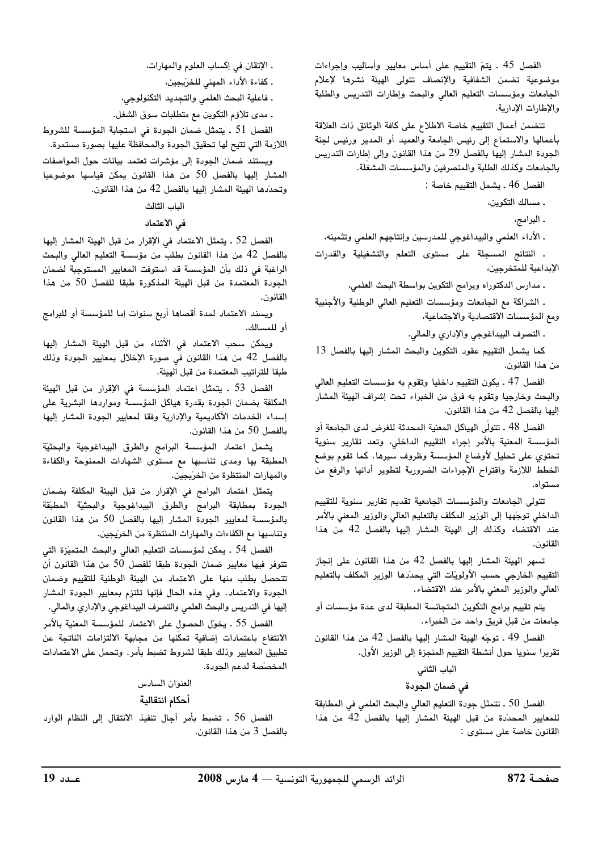الفصل 45 ـ يتمّ التقييم على أساس معايير وأساليب وإجراءات موضوعية تضمن الشفافية والإنصاف تتولى الهيئة نشرها لإعلام الجامعات ومؤسسات التعليم العالى والبحث وإطارات التدريس والطلبة والإطارات الإدارية.

تتضمن أعمال التقييم خاصة الاطلاع على كافة الوثائق ذات العلاقة بأعمالها والاستماع إلى رئيس الجامعة والعميد أو المدير ورئيس لجنة الجودة المشار إليها بالفصل 29 من هذا القانون وإلى إطارات التدريس بالجامعات وكذلك الطلبة والمتصرفين والمؤسسات المشغلة.

الفصل 46 . يشمل التقييم خاصة :

. مسالك التكوين،

. البرامج،

ـ الأداء العلمي والبيداغوجي للمدرسين وإنتاجهم العلمي وتثمينه،

. النتائج المسجلة على مستوى التعلم والتشغيلية والقدرات الإبداعية للمتخرجين،

ـ مدارس الدكتوراه وبرامج التكوين بواسطة البحث العلمى،

. الشراكة مع الجامعات ومؤسسات التعليم العالي الوطنية والأجنبية ومع المؤسسات الاقتصادية والاجتماعية،

. التصرف البيداغوجي والإداري والمالي.

كما يشمل التقييم عقود التكوين والبحث المشار إليها بالفصل 13 من هذا القانون.

الفصل 47 ـ يكون التقييم داخليا وتقوم به مؤسسات التعليم العالي والبحث وخارجيا وتقوم به فرق من الخبراء تحت إشراف الهيئة المشار إليها بالفصل 42 من هذا القانون.

الفصل 48 ـ تتولَّى الهياكل المعنية المحدثة للغرض لدى الجامعة أو المؤسسة المعنية بالأمر إجراء التقييم الداخلى، وتعد تقارير سنوية تحتوي على تحليل لأوضاع المؤسسة وظروف سيرها. كما تقوم بوضع الخطط اللازمة واقتراح الإجراءات الضرورية لتطوير أدائها والرفع من مستواه.

تتولى الجامعات والمؤسسات الجامعية تقديم تقارير سنوية للتقييم الداخلى توجّهها إلى الوزير المكلف بالتعليم العالي والوزير المعني بالأمر عند الاقتضاء وكذلك إلى الهيئة المشار إليها بالفصل 42 من هذا القانون.

تسهر الهيئة المشار إليها بالفصل 42 من هذا القانون على إنجاز التقييم الخارجي حسب الأولويّات التي يحدّدها الوزير المكلف بالتعليم العالى والوزير المعنى بالأمر عند الاقتضاء.

يتم تقييم برامج التكوين المتجانسة المطبقة لدى عدة مؤسسات أو جامعات من قبل فريق واحد من الخبراء.

الفصل 49 . توجِّه الهيئة المشار إليها بالفصل 42 من هذا القانون تقريرا سنويا حول أنشطة التقييم المنجزة إلى الوزير الأول.

# الباب الثاني

## في ضمان الجودة

الفصل 50 ـ تتمثل جودة التعليم العالى والبحث العلمى في المطابقة للمعايير المحدِّدة من قبل الهيئة المشار إليها بالفصل 42 من هذا القانون خاصة على مستوى :

ـ الإتقان في إكساب العلوم والمهارات،

ـ كفاءة الأداء المهنى للخرّيجين،

. فاعلية البحث العلمي والتجديد التكنولوجي،

. مدى تلاؤم التكوين مع متطلبات سوق الشغل.

الفصل 51 . يتمثل ضمان الجودة في استجابة المؤسسة للشروط اللازمة التي تتيح لها تحقيق الجودة والمحافظة عليها بصورة مستمرة.

ويستند ضمان الجودة إلى مؤشرات تعتمد بيانات حول المواصفات المشار إليها بالفصل 50 من هذا القانون يمكن قياسها موضوعيا وتحدِّدها الهيئة المشار إليها بالفصل 42 من هذا القانون.

## الباب الثالث

# فى الاعتماد

الفصل 52 . يتمثل الاعتماد في الإقرار من قبل الهيئة المشار إليها بالفصل 42 من هذا القانون بطلب من مؤسسة التعليم العالي والبحث الراغبة في ذلك بأن المؤسسة قد استوفت المعايير المستوجبة لضمان الجودة المعتمدة من قبل الهيئة المذكورة طبقا للفصل 50 من هذا القانون.

ويسند الاعتماد لمدة أقصاها أربع سنوات إما للمؤسسة أو للبرامج أو للمسالك.

ويمكن سحب الاعتماد فى الأثناء من قبل الهيئة المشار إليها بالفصل 42 من هذا القانون في صورة الإخلال بمعايير الجودة وذلك طبقا للتراتيب المعتمدة من قبل الهيئة.

الفصل 53 . يتمثل اعتماد المؤسسة فى الإقرار من قبل الهيئة المكلفة بضمان الجودة بقدرة هياكل المؤسسة ومواردها البشرية على إسداء الخدمات الأكاديمية والإدارية وفقا لمعايير الجودة المشار إليها بالفصل 50 من هذا القانون.

يشمل اعتماد المؤسسة البرامج والطرق البيداغوجية والبحثية المطبقة بها ومدى تناسبها مع مستوى الشهادات الممنوحة والكفاءة والمهارات المنتظرة من الخريجين.

يتمثل اعتماد البرامج فى الإقرار من قبل الهيئة المكلفة بضمان الجودة بمطابقة البرامج والطرق البيداغوجية والبحثية المطبقة بالمؤسسة لمعايير الجودة المشار إليها بالفصل 50 من هذا القانون وتناسبها مع الكفاءات والمهارات المنتظرة من الخرّيجين.

الفصل 54 . يمكن لمؤسسات التعليم العالى والبحث المتميّزة التي تتوفر فيها معايير ضمان الجودة طبقا للفصل 50 من هذا القانون أن تتحصل بطلب منها على الاعتماد من الهيئة الوطنية للتقييم وضمان الجودة والاعتماد. وفي هذه الحال فإنها تلتزم بمعايير الجودة المشار إليها في التدريس والبحث العلمي والتصرف البيداغوجي والإداري والمالي.

الفصل 55 . يخوّل الحصول على الاعتماد للمؤسسة المعنية بالأمر الانتفاع باعتمادات إضافية تمكنها من مجابهة الالتزامات الناتجة عن تطبيق المعايير وذلك طبقا لشروط تضبط بأمر. وتحمل على الاعتمادات المخصّصة لدعم الجودة.

# العنوان السادس

## أحكام انتقالية

الفصل 56 . تضبط بأمر آجال تنفيذ الانتقال إلى النظام الوارد بالفصل 3 من هذا القانون.